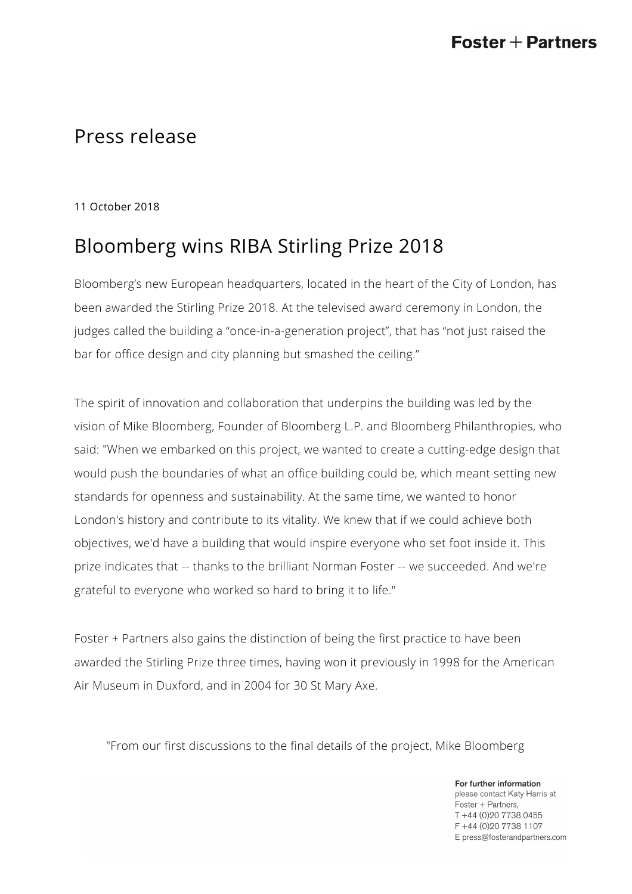## Press release

11 October 2018

# Bloomberg wins RIBA Stirling Prize 2018

Bloomberg's new European headquarters, located in the heart of the City of London, has been awarded the Stirling Prize 2018. At the televised award ceremony in London, the judges called the building a "once-in-a-generation project", that has "not just raised the bar for office design and city planning but smashed the ceiling."

The spirit of innovation and collaboration that underpins the building was led by the vision of Mike Bloomberg, Founder of Bloomberg L.P. and Bloomberg Philanthropies, who said: "When we embarked on this project, we wanted to create a cutting-edge design that would push the boundaries of what an office building could be, which meant setting new standards for openness and sustainability. At the same time, we wanted to honor London's history and contribute to its vitality. We knew that if we could achieve both objectives, we'd have a building that would inspire everyone who set foot inside it. This prize indicates that -- thanks to the brilliant Norman Foster -- we succeeded. And we're grateful to everyone who worked so hard to bring it to life."

Foster + Partners also gains the distinction of being the first practice to have been awarded the Stirling Prize three times, having won it previously in 1998 for the American Air Museum in Duxford, and in 2004 for 30 St Mary Axe.

"From our first discussions to the final details of the project, Mike Bloomberg

For further information please contact Katy Harris at Foster + Partners, T +44 (0)20 7738 0455 F +44 (0) 20 7738 1107 E press@fosterandpartners.com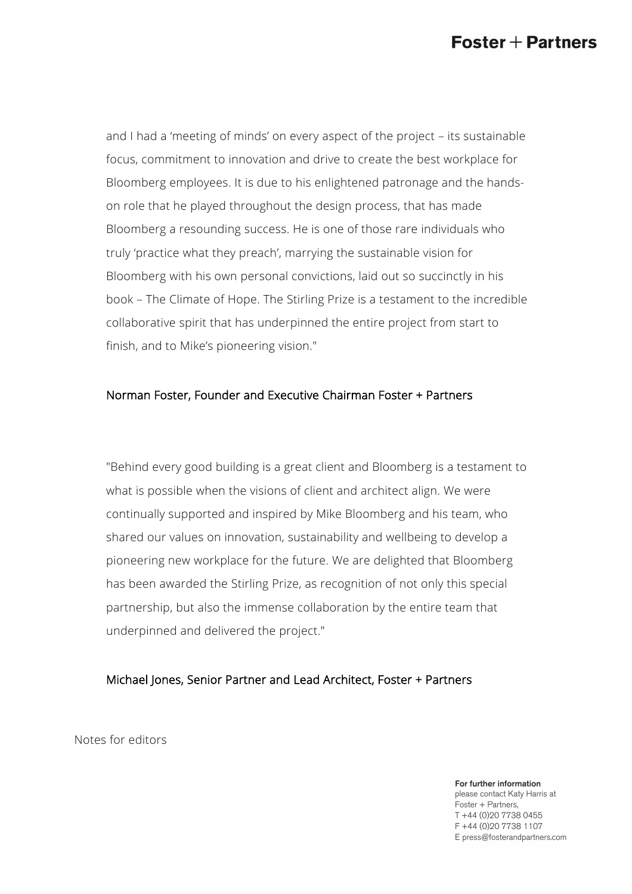## $\mathsf{Foster} + \mathsf{Partners}$

and I had a 'meeting of minds' on every aspect of the project – its sustainable focus, commitment to innovation and drive to create the best workplace for Bloomberg employees. It is due to his enlightened patronage and the handson role that he played throughout the design process, that has made Bloomberg a resounding success. He is one of those rare individuals who truly 'practice what they preach', marrying the sustainable vision for Bloomberg with his own personal convictions, laid out so succinctly in his book – The Climate of Hope. The Stirling Prize is a testament to the incredible collaborative spirit that has underpinned the entire project from start to finish, and to Mike's pioneering vision."

#### Norman Foster, Founder and Executive Chairman Foster + Partners

"Behind every good building is a great client and Bloomberg is a testament to what is possible when the visions of client and architect align. We were continually supported and inspired by Mike Bloomberg and his team, who shared our values on innovation, sustainability and wellbeing to develop a pioneering new workplace for the future. We are delighted that Bloomberg has been awarded the Stirling Prize, as recognition of not only this special partnership, but also the immense collaboration by the entire team that underpinned and delivered the project."

#### Michael Jones, Senior Partner and Lead Architect, Foster + Partners

Notes for editors

For further information

please contact Katy Harris at Foster + Partners, T +44 (0)20 7738 0455 F +44 (0) 20 7738 1107 E press@fosterandpartners.com